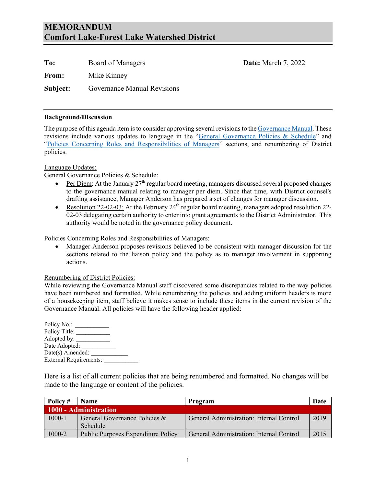# **MEMORANDUM Comfort Lake-Forest Lake Watershed District**

| To:      | Board of Managers           |
|----------|-----------------------------|
| From:    | Mike Kinney                 |
| Subject: | Governance Manual Revisions |

#### **Background/Discussion**

The purpose of this agenda item is to consider approving several revisions to th[e Governance Manual.](http://clflwd.org/documents/Policy-CompleteManual-adoptedpolicies04-08-19signed.pdf) These revisions include various updates to language in the ["General Governance Policies & Schedule"](https://clflwd.org/documents/Policy-CompleteManual-adoptedpolicies04-08-19signed.pdf#page=10) and ["Policies Concerning Roles and Responsibilities of Managers"](https://clflwd.org/documents/Policy-CompleteManual-adoptedpolicies04-08-19signed.pdf#page=45) sections, and renumbering of District policies.

**Date:** March 7, 2022

#### Language Updates:

General Governance Policies & Schedule:

- Per Diem: At the January  $27<sup>th</sup>$  regular board meeting, managers discussed several proposed changes to the governance manual relating to manager per diem. Since that time, with District counsel's drafting assistance, Manager Anderson has prepared a set of changes for manager discussion.
- Resolution 22-02-03: At the February  $24<sup>th</sup>$  regular board meeting, managers adopted resolution 22-02-03 delegating certain authority to enter into grant agreements to the District Administrator. This authority would be noted in the governance policy document.

Policies Concerning Roles and Responsibilities of Managers:

• Manager Anderson proposes revisions believed to be consistent with manager discussion for the sections related to the liaison policy and the policy as to manager involvement in supporting actions.

#### Renumbering of District Policies:

While reviewing the Governance Manual staff discovered some discrepancies related to the way policies have been numbered and formatted. While renumbering the policies and adding uniform headers is more of a housekeeping item, staff believe it makes sense to include these items in the current revision of the Governance Manual. All policies will have the following header applied:

Policy No.: Policy Title: \_\_\_\_\_\_\_\_\_\_\_ Adopted by: Date Adopted: Date(s) Amended: External Requirements:

Here is a list of all current policies that are being renumbered and formatted. No changes will be made to the language or content of the policies.

| Policy #   | <b>Name</b>                        | Program                                  | Date |
|------------|------------------------------------|------------------------------------------|------|
|            | 1000 - Administration              |                                          |      |
| $1000 - 1$ | General Governance Policies &      | General Administration: Internal Control | 2019 |
|            | Schedule                           |                                          |      |
| 1000-2     | Public Purposes Expenditure Policy | General Administration: Internal Control | 2015 |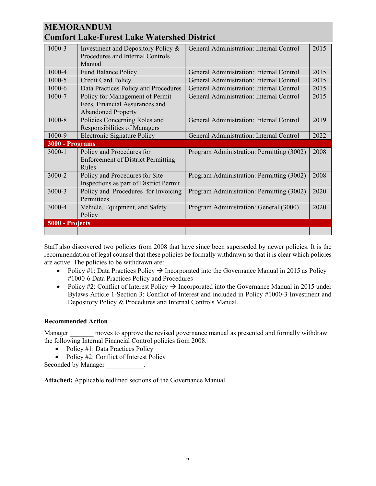# **MEMORANDUM**

| <b>Comfort Lake-Forest Lake Watershed District</b> |                                                                                                |                                           |      |  |
|----------------------------------------------------|------------------------------------------------------------------------------------------------|-------------------------------------------|------|--|
| 1000-3                                             | Investment and Depository Policy &<br>Procedures and Internal Controls<br>Manual               | General Administration: Internal Control  | 2015 |  |
| 1000-4                                             | <b>Fund Balance Policy</b>                                                                     | General Administration: Internal Control  | 2015 |  |
| 1000-5                                             | Credit Card Policy                                                                             | General Administration: Internal Control  | 2015 |  |
| 1000-6                                             | Data Practices Policy and Procedures                                                           | General Administration: Internal Control  | 2015 |  |
| 1000-7                                             | Policy for Management of Permit<br>Fees, Financial Assurances and<br><b>Abandoned Property</b> | General Administration: Internal Control  | 2015 |  |
| 1000-8                                             | Policies Concerning Roles and<br><b>Responsibilities of Managers</b>                           | General Administration: Internal Control  | 2019 |  |
| 1000-9                                             | <b>Electronic Signature Policy</b>                                                             | General Administration: Internal Control  | 2022 |  |
| 3000 - Programs                                    |                                                                                                |                                           |      |  |
| $3000 - 1$                                         | Policy and Procedures for<br><b>Enforcement of District Permitting</b><br>Rules                | Program Administration: Permitting (3002) | 2008 |  |

Staff also discovered two policies from 2008 that have since been superseded by newer policies. It is the recommendation of legal counsel that these policies be formally withdrawn so that it is clear which policies are active. The policies to be withdrawn are:

Program Administration: Permitting (3002) | 2008

Program Administration: Permitting (3002) | 2020

Program Administration: General (3000) 2020

- Policy #1: Data Practices Policy  $\rightarrow$  Incorporated into the Governance Manual in 2015 as Policy #1000-6 Data Practices Policy and Procedures
- Policy #2: Conflict of Interest Policy  $\rightarrow$  Incorporated into the Governance Manual in 2015 under Bylaws Article 1-Section 3: Conflict of Interest and included in Policy #1000-3 Investment and Depository Policy & Procedures and Internal Controls Manual.

## **Recommended Action**

Manager moves to approve the revised governance manual as presented and formally withdraw the following Internal Financial Control policies from 2008.

• Policy #1: Data Practices Policy

3000-2 Policy and Procedures for Site

3000-4 Vehicle, Equipment, and Safety

Permittees

Policy

**5000 - Projects**

3000-3 Policy and Procedures for Invoicing

Inspections as part of District Permit

• Policy #2: Conflict of Interest Policy

Seconded by Manager  $\qquad \qquad$ .

**Attached:** Applicable redlined sections of the Governance Manual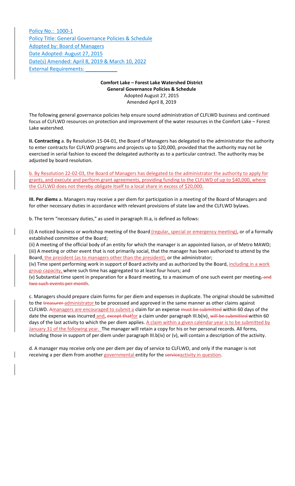Policy No.: 1000‐1 Policy Title: General Governance Policies & Schedule Adopted by: Board of Managers Date Adopted: August 27, 2015 Date(s) Amended: April 8, 2019 & March 10, 2022 **External Requirements:** 

# **Comfort Lake – Forest Lake Watershed District General Governance Policies & Schedule** Adopted August 27, 2015

Amended April 8, 2019

The following general governance policies help ensure sound administration of CLFLWD business and continued focus of CLFLWD resources on protection and improvement of the water resources in the Comfort Lake – Forest Lake watershed.

**II. Contracting** a. By Resolution 15‐04‐01, the Board of Managers has delegated to the administrator the authority to enter contracts for CLFLWD programs and projects up to \$20,000, provided that the authority may not be exercised in serial fashion to exceed the delegated authority as to a particular contract. The authority may be adjusted by board resolution.

b. By Resolution 22‐02‐03, the Board of Managers has delegated to the administrator the authority to apply for grants, and execute and perform grant agreements, providing funding to the CLFLWD of up to \$40,000, where the CLFLWD does not thereby obligate itself to a local share in excess of \$20,000.

**III. Per diems** a. Managers may receive a per diem for participation in a meeting of the Board of Managers and for other necessary duties in accordance with relevant provisions of state law and the CLFLWD bylaws.

b. The term "necessary duties," as used in paragraph III.a, is defined as follows:

(i) A noticed business or workshop meeting of the Board (regular, special or emergency meeting), or of a formally established committee of the Board;

(ii) A meeting of the official body of an entity for which the manager is an appointed liaison, or of Metro MAWD; (iii) A meeting or other event that is not primarily social, that the manager has been authorized to attend by the Board, the president (as to managers other than the president), or the administrator;

(iv) Time spent performing work in support of Board activity and as authorized by the Board, including in a work group capacity, where such time has aggregated to at least four hours; and

(v) Substantial time spent in preparation for a Board meeting, to a maximum of one such event per meeting, and two such events per month.

c. Managers should prepare claim forms for per diem and expenses in duplicate. The original should be submitted to the treasurer administrator to be processed and approved in the same manner as other claims against CLFLWD. Amanagers are encouraged to submit a claim for an expense must be submitted within 60 days of the date the expense was incurred and, except thatfor a claim under paragraph III.b(iv), will be submitted within 60 days of the last activity to which the per diem applies. A claim within a given calendar year is to be submitted by January 31 of the following year. The manager will retain a copy for his or her personal records. All forms, including those in support of per diem under paragraph III.b(iv) or (v), will contain a description of the activity.

d. A manager may receive only one per diem per day of service to CLFLWD, and only if the manager is not receiving a per diem from another governmental entity for the serviceactivity in question.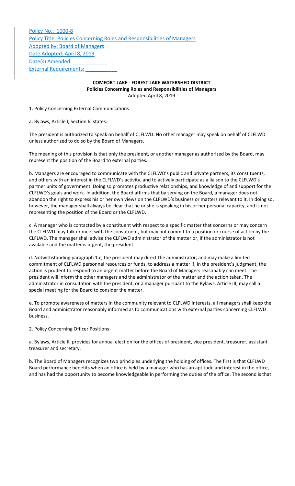Policy No.: 1000‐8 Policy Title: Policies Concerning Roles and Responsibilities of Managers Adopted by: Board of Managers Date Adopted: April 8, 2019 Date(s) Amended: External Requirements:

## **COMFORT LAKE ‐ FOREST LAKE WATERSHED DISTRICT Policies Concerning Roles and Responsibilities of Managers** Adopted April 8, 2019

1. Policy Concerning External Communications

a. Bylaws, Article I, Section 6, states:

The president is authorized to speak on behalf of CLFLWD. No other manager may speak on behalf of CLFLWD unless authorized to do so by the Board of Managers.

The meaning of this provision is that only the president, or another manager as authorized by the Board, may represent the position of the Board to external parties.

b. Managers are encouraged to communicate with the CLFLWD's public and private partners, its constituents, and others with an interest in the CLFLWD's activity, and to actively participate as a liaison to the CLFLWD's partner units of government. Doing so promotes productive relationships, and knowledge of and support for the CLFLWD's goals and work. In addition, the Board affirms that by serving on the Board, a manager does not abandon the right to express his or her own views on the CLFLWD's business or matters relevant to it. In doing so, however, the manager shall always be clear that he or she is speaking in his or her personal capacity, and is not representing the position of the Board or the CLFLWD.

c. A manager who is contacted by a constituent with respect to a specific matter that concerns or may concern the CLFLWD may talk or meet with the constituent, but may not commit to a position or course of action by the CLFLWD. The manager shall advise the CLFLWD administrator of the matter or, if the administrator is not available and the matter is urgent, the president.

d. Notwithstanding paragraph 1.c, the president may direct the administrator, and may make a limited commitment of CLFLWD personnel resources or funds, to address a matter if, in the president's judgment, the action is prudent to respond to an urgent matter before the Board of Managers reasonably can meet. The president will inform the other managers and the administrator of the matter and the action taken. The administrator in consultation with the president, or a manager pursuant to the Bylaws, Article III, may call a special meeting for the Board to consider the matter.

e. To promote awareness of matters in the community relevant to CLFLWD interests, all managers shall keep the Board and administrator reasonably informed as to communications with external parties concerning CLFLWD business.

## 2. Policy Concerning Officer Positions

a. Bylaws, Article II, provides for annual election for the offices of president, vice president, treasurer, assistant treasurer and secretary.

b. The Board of Managers recognizes two principles underlying the holding of offices. The first is that CLFLWD Board performance benefits when an office is held by a manager who has an aptitude and interest in the office, and has had the opportunity to become knowledgeable in performing the duties of the office. The second is that